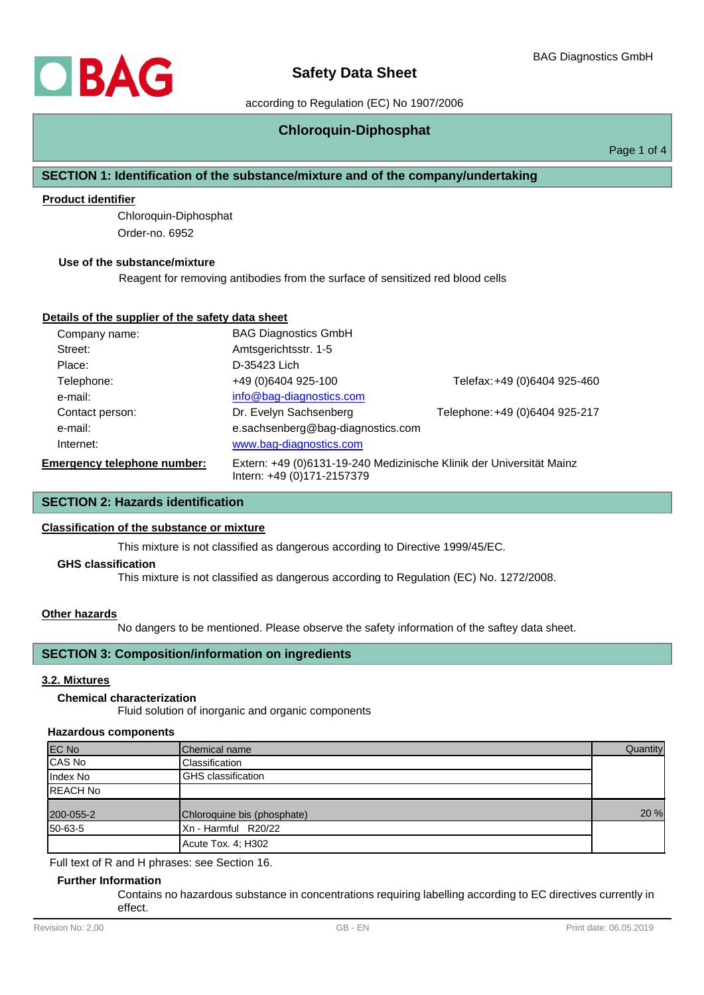## according to Regulation (EC) No 1907/2006

## **Chloroquin-Diphosphat**

Page 1 of 4

## **SECTION 1: Identification of the substance/mixture and of the company/undertaking**

## **Product identifier**

Chloroquin-Diphosphat Order-no. 6952

#### **Use of the substance/mixture**

Reagent for removing antibodies from the surface of sensitized red blood cells

#### **Details of the supplier of the safety data sheet**

| Company name:                      | <b>BAG Diagnostics GmbH</b>                                                                        |                                |  |
|------------------------------------|----------------------------------------------------------------------------------------------------|--------------------------------|--|
| Street:                            | Amtsgerichtsstr. 1-5                                                                               |                                |  |
| Place:                             | D-35423 Lich                                                                                       |                                |  |
| Telephone:                         | +49 (0)6404 925-100                                                                                | Telefax: +49 (0)6404 925-460   |  |
| e-mail:                            | info@bag-diagnostics.com                                                                           |                                |  |
| Contact person:                    | Dr. Evelyn Sachsenberg                                                                             | Telephone: +49 (0)6404 925-217 |  |
| e-mail:                            | e.sachsenberg@bag-diagnostics.com                                                                  |                                |  |
| Internet:                          | www.bag-diagnostics.com                                                                            |                                |  |
| <b>Emergency telephone number:</b> | Extern: +49 (0)6131-19-240 Medizinische Klinik der Universität Mainz<br>Intern: +49 (0)171-2157379 |                                |  |

## **SECTION 2: Hazards identification**

#### **Classification of the substance or mixture**

This mixture is not classified as dangerous according to Directive 1999/45/EC.

#### **GHS classification**

This mixture is not classified as dangerous according to Regulation (EC) No. 1272/2008.

#### **Other hazards**

No dangers to be mentioned. Please observe the safety information of the saftey data sheet.

## **SECTION 3: Composition/information on ingredients**

#### **3.2. Mixtures**

#### **Chemical characterization**

Fluid solution of inorganic and organic components

#### **Hazardous components**

| <b>EC No</b>    | Chemical name               | Quantity |
|-----------------|-----------------------------|----------|
| CAS No          | Classification              |          |
| Index No        | <b>GHS</b> classification   |          |
| <b>REACH No</b> |                             |          |
| 200-055-2       | Chloroquine bis (phosphate) | 20 %     |
| 50-63-5         | Xn - Harmful R20/22         |          |
|                 | Acute Tox. 4; H302          |          |

Full text of R and H phrases: see Section 16.

#### **Further Information**

Contains no hazardous substance in concentrations requiring labelling according to EC directives currently in effect.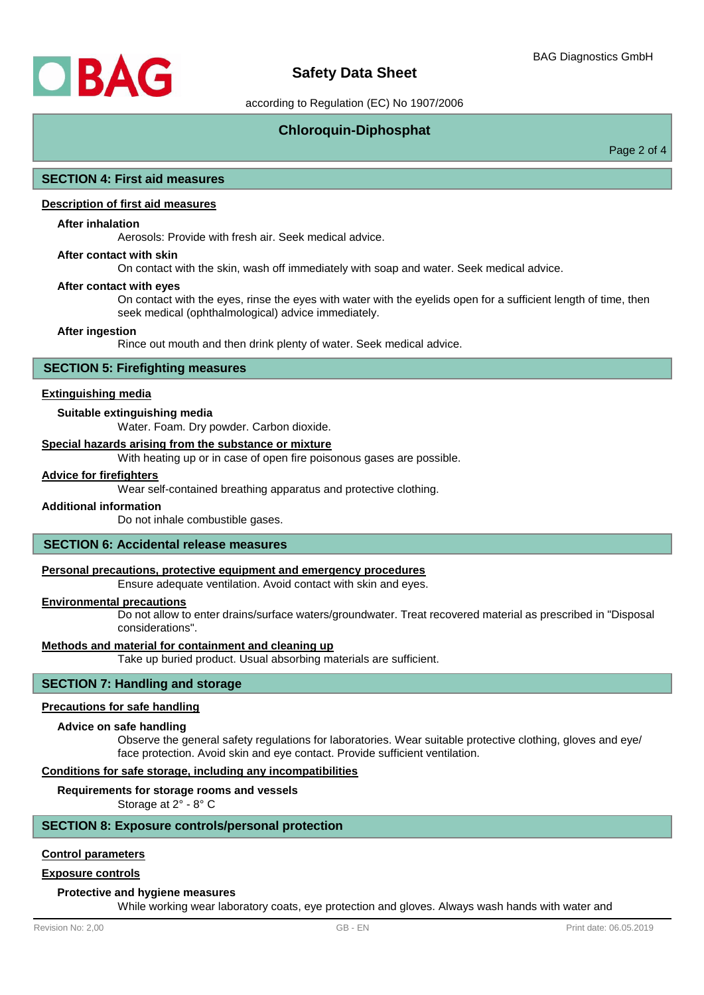

## **Safety Data Sheet**

according to Regulation (EC) No 1907/2006

## **Chloroquin-Diphosphat**

Page 2 of 4

#### **SECTION 4: First aid measures**

## **Description of first aid measures**

#### **After inhalation**

Aerosols: Provide with fresh air. Seek medical advice.

#### **After contact with skin**

On contact with the skin, wash off immediately with soap and water. Seek medical advice.

#### **After contact with eyes**

On contact with the eyes, rinse the eyes with water with the eyelids open for a sufficient length of time, then seek medical (ophthalmological) advice immediately.

#### **After ingestion**

Rince out mouth and then drink plenty of water. Seek medical advice.

### **SECTION 5: Firefighting measures**

#### **Extinguishing media**

#### **Suitable extinguishing media**

Water. Foam. Dry powder. Carbon dioxide.

#### **Special hazards arising from the substance or mixture**

With heating up or in case of open fire poisonous gases are possible.

#### **Advice for firefighters**

Wear self-contained breathing apparatus and protective clothing.

#### **Additional information**

Do not inhale combustible gases.

#### **SECTION 6: Accidental release measures**

#### **Personal precautions, protective equipment and emergency procedures**

Ensure adequate ventilation. Avoid contact with skin and eyes.

#### **Environmental precautions**

Do not allow to enter drains/surface waters/groundwater. Treat recovered material as prescribed in "Disposal considerations".

#### **Methods and material for containment and cleaning up**

Take up buried product. Usual absorbing materials are sufficient.

## **SECTION 7: Handling and storage**

#### **Precautions for safe handling**

#### **Advice on safe handling**

Observe the general safety regulations for laboratories. Wear suitable protective clothing, gloves and eye/ face protection. Avoid skin and eye contact. Provide sufficient ventilation.

#### **Conditions for safe storage, including any incompatibilities**

#### **Requirements for storage rooms and vessels**

Storage at 2° - 8° C

#### **SECTION 8: Exposure controls/personal protection**

#### **Control parameters**

#### **Exposure controls**

#### **Protective and hygiene measures**

While working wear laboratory coats, eye protection and gloves. Always wash hands with water and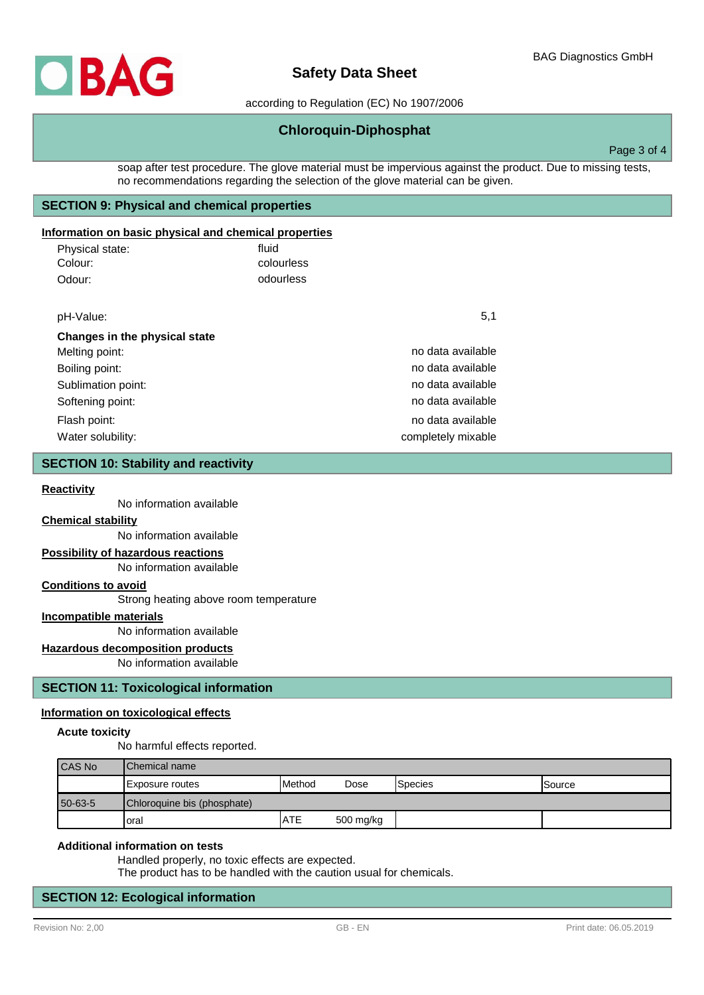## **Safety Data Sheet**

according to Regulation (EC) No 1907/2006

## **Chloroquin-Diphosphat**

Page 3 of 4

soap after test procedure. The glove material must be impervious against the product. Due to missing tests, no recommendations regarding the selection of the glove material can be given.

## **SECTION 9: Physical and chemical properties**

### **Information on basic physical and chemical properties**

| Physical state: | fluid      |
|-----------------|------------|
| Colour:         | colourless |
| Odour:          | odourless  |

| pH-Value:                     | 5,1                |
|-------------------------------|--------------------|
| Changes in the physical state |                    |
| Melting point:                | no data available  |
| Boiling point:                | no data available  |
| Sublimation point:            | no data available  |
| Softening point:              | no data available  |
| Flash point:                  | no data available  |
| Water solubility:             | completely mixable |

#### **SECTION 10: Stability and reactivity**

#### **Reactivity**

No information available

#### **Chemical stability**

No information available

#### **Possibility of hazardous reactions**

No information available

#### **Conditions to avoid**

Strong heating above room temperature

## **Incompatible materials**

No information available

## **Hazardous decomposition products**

No information available

#### **SECTION 11: Toxicological information**

#### **Information on toxicological effects**

#### **Acute toxicity**

No harmful effects reported.

| <b>CAS No</b> | <b>IChemical name</b>       |               |           |          |         |  |  |
|---------------|-----------------------------|---------------|-----------|----------|---------|--|--|
|               | I Exposure routes           | <b>Method</b> | Dose      | 'Species | ISource |  |  |
| 50-63-5       | Chloroquine bis (phosphate) |               |           |          |         |  |  |
|               | oral                        | <b>ATE</b>    | 500 mg/kg |          |         |  |  |

#### **Additional information on tests**

Handled properly, no toxic effects are expected.

The product has to be handled with the caution usual for chemicals.

## **SECTION 12: Ecological information**